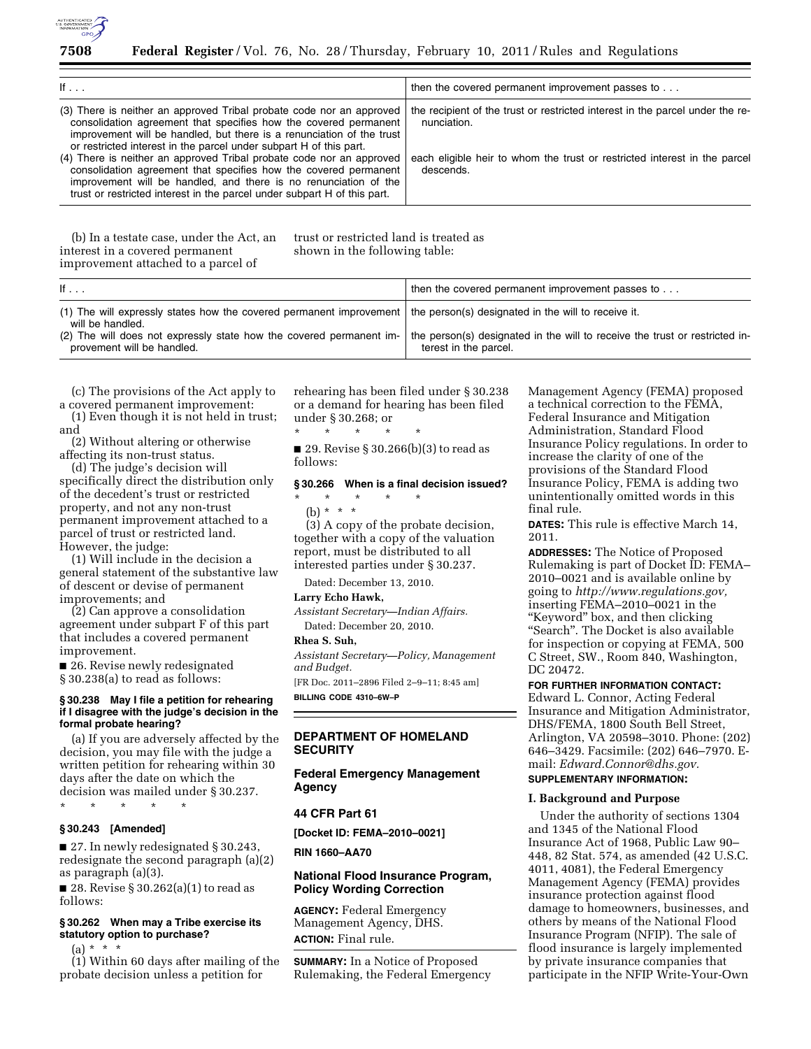

| If $\ldots$                                                                                                                                                                                                                                                                                                                                                                                                                                                                                                                                                                         | then the covered permanent improvement passes to                                                                                                                                       |
|-------------------------------------------------------------------------------------------------------------------------------------------------------------------------------------------------------------------------------------------------------------------------------------------------------------------------------------------------------------------------------------------------------------------------------------------------------------------------------------------------------------------------------------------------------------------------------------|----------------------------------------------------------------------------------------------------------------------------------------------------------------------------------------|
| (3) There is neither an approved Tribal probate code nor an approved<br>consolidation agreement that specifies how the covered permanent<br>improvement will be handled, but there is a renunciation of the trust<br>or restricted interest in the parcel under subpart H of this part.<br>(4) There is neither an approved Tribal probate code nor an approved<br>consolidation agreement that specifies how the covered permanent<br>improvement will be handled, and there is no renunciation of the<br>trust or restricted interest in the parcel under subpart H of this part. | the recipient of the trust or restricted interest in the parcel under the re-<br>nunciation.<br>each eligible heir to whom the trust or restricted interest in the parcel<br>descends. |

(b) In a testate case, under the Act, an interest in a covered permanent improvement attached to a parcel of

trust or restricted land is treated as shown in the following table:

| If $\ldots$                                                                                                                                                                                                          | then the covered permanent improvement passes to                            |
|----------------------------------------------------------------------------------------------------------------------------------------------------------------------------------------------------------------------|-----------------------------------------------------------------------------|
| (1) The will expressly states how the covered permanent improvement   the person(s) designated in the will to receive it.<br>will be handled.<br>(2) The will does not expressly state how the covered permanent im- | the person(s) designated in the will to receive the trust or restricted in- |
| provement will be handled.                                                                                                                                                                                           | terest in the parcel.                                                       |

(c) The provisions of the Act apply to a covered permanent improvement:

(1) Even though it is not held in trust; and

(2) Without altering or otherwise affecting its non-trust status.

(d) The judge's decision will specifically direct the distribution only of the decedent's trust or restricted property, and not any non-trust permanent improvement attached to a parcel of trust or restricted land. However, the judge:

(1) Will include in the decision a general statement of the substantive law of descent or devise of permanent improvements; and

(2) Can approve a consolidation agreement under subpart F of this part that includes a covered permanent improvement.

■ 26. Revise newly redesignated § 30.238(a) to read as follows:

### **§ 30.238 May I file a petition for rehearing if I disagree with the judge's decision in the formal probate hearing?**

(a) If you are adversely affected by the decision, you may file with the judge a written petition for rehearing within 30 days after the date on which the decision was mailed under § 30.237. \* \* \* \* \*

#### **§ 30.243 [Amended]**

■ 27. In newly redesignated § 30.243, redesignate the second paragraph (a)(2) as paragraph (a)(3).

■ 28. Revise § 30.262(a)(1) to read as follows:

# **§ 30.262 When may a Tribe exercise its statutory option to purchase?**

 $(a) * * * *$ 

(1) Within 60 days after mailing of the probate decision unless a petition for

rehearing has been filed under § 30.238 or a demand for hearing has been filed under § 30.268; or

\* \* \* \* \* ■ 29. Revise § 30.266(b)(3) to read as follows:

### **§ 30.266 When is a final decision issued?**

# \* \* \* \* \*

(b) \* \* \* (3) A copy of the probate decision,

together with a copy of the valuation report, must be distributed to all interested parties under § 30.237.

Dated: December 13, 2010.

#### **Larry Echo Hawk,**

*Assistant Secretary—Indian Affairs.*  Dated: December 20, 2010.

#### **Rhea S. Suh,**

*Assistant Secretary—Policy, Management and Budget.* 

[FR Doc. 2011–2896 Filed 2–9–11; 8:45 am] **BILLING CODE 4310–6W–P** 

# **DEPARTMENT OF HOMELAND SECURITY**

**Federal Emergency Management Agency** 

#### **44 CFR Part 61**

**[Docket ID: FEMA–2010–0021]** 

**RIN 1660–AA70** 

### **National Flood Insurance Program, Policy Wording Correction**

**AGENCY:** Federal Emergency Management Agency, DHS. **ACTION:** Final rule.

**SUMMARY:** In a Notice of Proposed Rulemaking, the Federal Emergency

Management Agency (FEMA) proposed a technical correction to the FEMA, Federal Insurance and Mitigation Administration, Standard Flood Insurance Policy regulations. In order to increase the clarity of one of the provisions of the Standard Flood Insurance Policy, FEMA is adding two unintentionally omitted words in this final rule.

**DATES:** This rule is effective March 14, 2011.

**ADDRESSES:** The Notice of Proposed Rulemaking is part of Docket ID: FEMA– 2010–0021 and is available online by going to *[http://www.regulations.gov,](http://www.regulations.gov)*  inserting FEMA–2010–0021 in the ''Keyword'' box, and then clicking "Search". The Docket is also available for inspection or copying at FEMA, 500 C Street, SW., Room 840, Washington, DC 20472.

#### **FOR FURTHER INFORMATION CONTACT:**

Edward L. Connor, Acting Federal Insurance and Mitigation Administrator, DHS/FEMA, 1800 South Bell Street, Arlington, VA 20598–3010. Phone: (202) 646–3429. Facsimile: (202) 646–7970. Email: *[Edward.Connor@dhs.gov.](mailto:Edward.Connor@dhs.gov)* 

# **SUPPLEMENTARY INFORMATION:**

### **I. Background and Purpose**

Under the authority of sections 1304 and 1345 of the National Flood Insurance Act of 1968, Public Law 90– 448, 82 Stat. 574, as amended (42 U.S.C. 4011, 4081), the Federal Emergency Management Agency (FEMA) provides insurance protection against flood damage to homeowners, businesses, and others by means of the National Flood Insurance Program (NFIP). The sale of flood insurance is largely implemented by private insurance companies that participate in the NFIP Write-Your-Own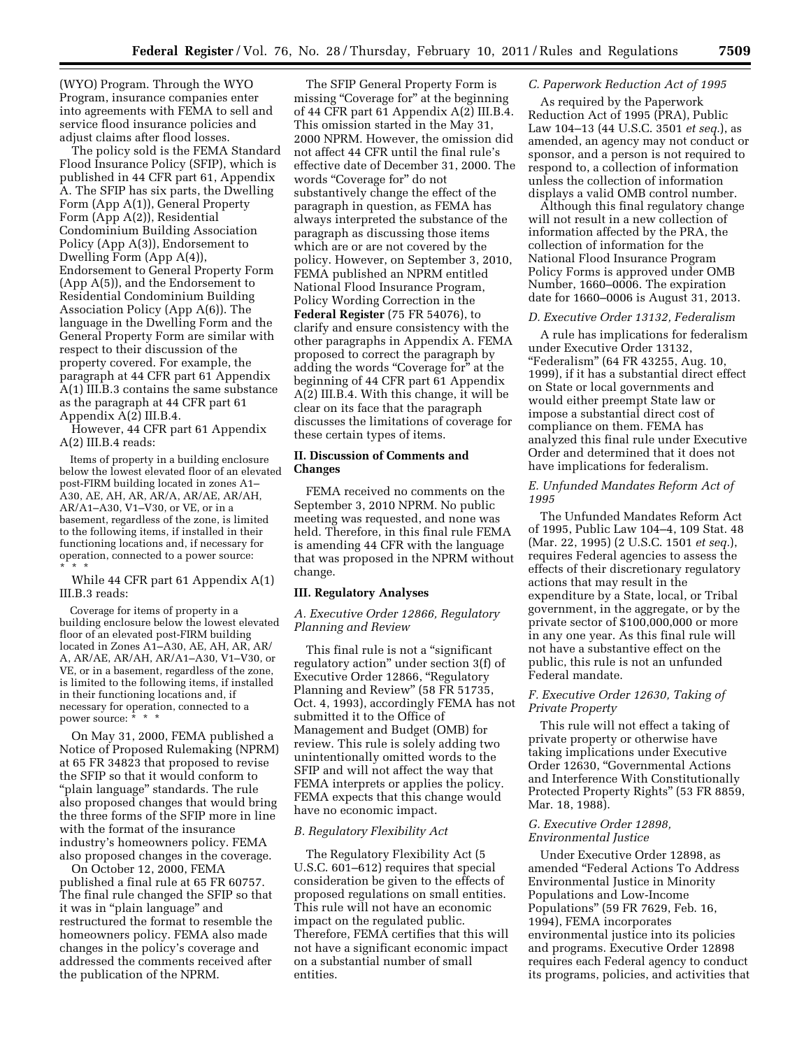(WYO) Program. Through the WYO Program, insurance companies enter into agreements with FEMA to sell and service flood insurance policies and adjust claims after flood losses.

The policy sold is the FEMA Standard Flood Insurance Policy (SFIP), which is published in 44 CFR part 61, Appendix A. The SFIP has six parts, the Dwelling Form (App A(1)), General Property Form (App A(2)), Residential Condominium Building Association Policy (App A(3)), Endorsement to Dwelling Form (App A(4)), Endorsement to General Property Form (App A(5)), and the Endorsement to Residential Condominium Building Association Policy (App A(6)). The language in the Dwelling Form and the General Property Form are similar with respect to their discussion of the property covered. For example, the paragraph at 44 CFR part 61 Appendix A(1) III.B.3 contains the same substance as the paragraph at 44 CFR part 61 Appendix A(2) III.B.4.

However, 44 CFR part 61 Appendix A(2) III.B.4 reads:

Items of property in a building enclosure below the lowest elevated floor of an elevated post-FIRM building located in zones A1– A30, AE, AH, AR, AR/A, AR/AE, AR/AH, AR/A1–A30, V1–V30, or VE, or in a basement, regardless of the zone, is limited to the following items, if installed in their functioning locations and, if necessary for operation, connected to a power source: \* \* \*

While 44 CFR part 61 Appendix A(1) III.B.3 reads:

Coverage for items of property in a building enclosure below the lowest elevated floor of an elevated post-FIRM building located in Zones A1–A30, AE, AH, AR, AR/ A, AR/AE, AR/AH, AR/A1–A30, V1–V30, or VE, or in a basement, regardless of the zone, is limited to the following items, if installed in their functioning locations and, if necessary for operation, connected to a power source: \* \* \*

On May 31, 2000, FEMA published a Notice of Proposed Rulemaking (NPRM) at 65 FR 34823 that proposed to revise the SFIP so that it would conform to ''plain language'' standards. The rule also proposed changes that would bring the three forms of the SFIP more in line with the format of the insurance industry's homeowners policy. FEMA also proposed changes in the coverage.

On October 12, 2000, FEMA published a final rule at 65 FR 60757. The final rule changed the SFIP so that it was in ''plain language'' and restructured the format to resemble the homeowners policy. FEMA also made changes in the policy's coverage and addressed the comments received after the publication of the NPRM.

The SFIP General Property Form is missing "Coverage for" at the beginning of 44 CFR part 61 Appendix A(2) III.B.4. This omission started in the May 31, 2000 NPRM. However, the omission did not affect 44 CFR until the final rule's effective date of December 31, 2000. The words "Coverage for" do not substantively change the effect of the paragraph in question, as FEMA has always interpreted the substance of the paragraph as discussing those items which are or are not covered by the policy. However, on September 3, 2010, FEMA published an NPRM entitled National Flood Insurance Program, Policy Wording Correction in the **Federal Register** (75 FR 54076), to clarify and ensure consistency with the other paragraphs in Appendix A. FEMA proposed to correct the paragraph by adding the words "Coverage for" at the beginning of 44 CFR part 61 Appendix A(2) III.B.4. With this change, it will be clear on its face that the paragraph discusses the limitations of coverage for these certain types of items.

### **II. Discussion of Comments and Changes**

FEMA received no comments on the September 3, 2010 NPRM. No public meeting was requested, and none was held. Therefore, in this final rule FEMA is amending 44 CFR with the language that was proposed in the NPRM without change.

#### **III. Regulatory Analyses**

#### *A. Executive Order 12866, Regulatory Planning and Review*

This final rule is not a ''significant regulatory action'' under section 3(f) of Executive Order 12866, ''Regulatory Planning and Review'' (58 FR 51735, Oct. 4, 1993), accordingly FEMA has not submitted it to the Office of Management and Budget (OMB) for review. This rule is solely adding two unintentionally omitted words to the SFIP and will not affect the way that FEMA interprets or applies the policy. FEMA expects that this change would have no economic impact.

#### *B. Regulatory Flexibility Act*

The Regulatory Flexibility Act (5 U.S.C. 601–612) requires that special consideration be given to the effects of proposed regulations on small entities. This rule will not have an economic impact on the regulated public. Therefore, FEMA certifies that this will not have a significant economic impact on a substantial number of small entities.

#### *C. Paperwork Reduction Act of 1995*

As required by the Paperwork Reduction Act of 1995 (PRA), Public Law 104–13 (44 U.S.C. 3501 *et seq.*), as amended, an agency may not conduct or sponsor, and a person is not required to respond to, a collection of information unless the collection of information displays a valid OMB control number.

Although this final regulatory change will not result in a new collection of information affected by the PRA, the collection of information for the National Flood Insurance Program Policy Forms is approved under OMB Number, 1660–0006. The expiration date for 1660–0006 is August 31, 2013.

#### *D. Executive Order 13132, Federalism*

A rule has implications for federalism under Executive Order 13132, ''Federalism'' (64 FR 43255, Aug. 10, 1999), if it has a substantial direct effect on State or local governments and would either preempt State law or impose a substantial direct cost of compliance on them. FEMA has analyzed this final rule under Executive Order and determined that it does not have implications for federalism.

### *E. Unfunded Mandates Reform Act of 1995*

The Unfunded Mandates Reform Act of 1995, Public Law 104–4, 109 Stat. 48 (Mar. 22, 1995) (2 U.S.C. 1501 *et seq.*), requires Federal agencies to assess the effects of their discretionary regulatory actions that may result in the expenditure by a State, local, or Tribal government, in the aggregate, or by the private sector of \$100,000,000 or more in any one year. As this final rule will not have a substantive effect on the public, this rule is not an unfunded Federal mandate.

### *F. Executive Order 12630, Taking of Private Property*

This rule will not effect a taking of private property or otherwise have taking implications under Executive Order 12630, ''Governmental Actions and Interference With Constitutionally Protected Property Rights'' (53 FR 8859, Mar. 18, 1988).

### *G. Executive Order 12898, Environmental Justice*

Under Executive Order 12898, as amended ''Federal Actions To Address Environmental Justice in Minority Populations and Low-Income Populations'' (59 FR 7629, Feb. 16, 1994), FEMA incorporates environmental justice into its policies and programs. Executive Order 12898 requires each Federal agency to conduct its programs, policies, and activities that